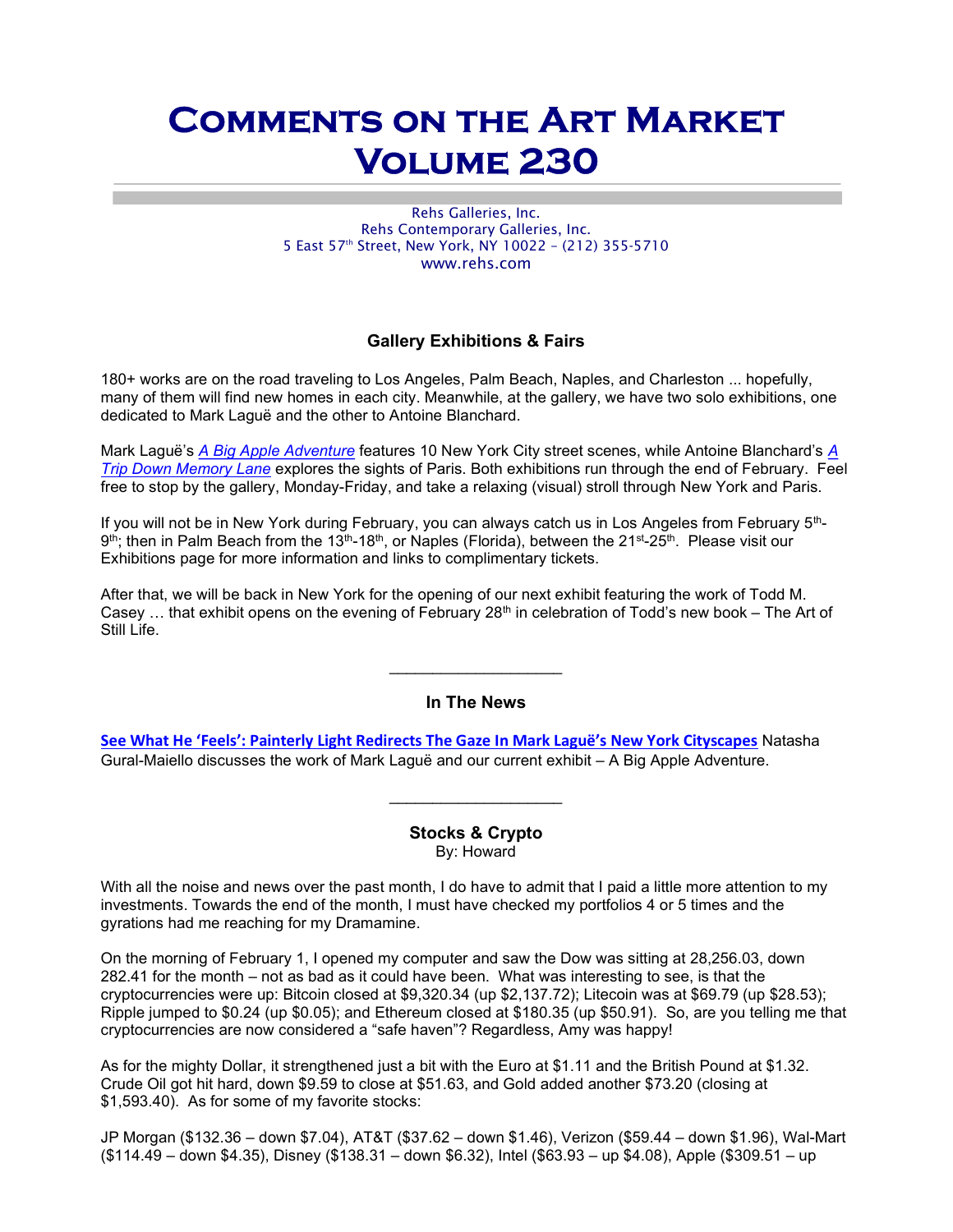# Comments on the Art Market Volume 230

Rehs Galleries, Inc. Rehs Contemporary Galleries, Inc. 5 East 57th Street, New York, NY 10022 – (212) 355-5710 www.rehs.com

# Gallery Exhibitions & Fairs

180+ works are on the road traveling to Los Angeles, Palm Beach, Naples, and Charleston ... hopefully, many of them will find new homes in each city. Meanwhile, at the gallery, we have two solo exhibitions, one dedicated to Mark Laguë and the other to Antoine Blanchard.

Mark Laguë's A Big Apple Adventure features 10 New York City street scenes, while Antoine Blanchard's A Trip Down Memory Lane explores the sights of Paris. Both exhibitions run through the end of February. Feel free to stop by the gallery, Monday-Friday, and take a relaxing (visual) stroll through New York and Paris.

If you will not be in New York during February, you can always catch us in Los Angeles from February 5th-9<sup>th</sup>; then in Palm Beach from the 13<sup>th</sup>-18<sup>th</sup>, or Naples (Florida), between the 21<sup>st</sup>-25<sup>th</sup>. Please visit our Exhibitions page for more information and links to complimentary tickets.

After that, we will be back in New York for the opening of our next exhibit featuring the work of Todd M. Casey ... that exhibit opens on the evening of February  $28<sup>th</sup>$  in celebration of Todd's new book – The Art of Still Life.

## In The News

 $\mathcal{L}_\text{max}$  , we are the set of the set of the set of the set of the set of the set of the set of the set of the set of the set of the set of the set of the set of the set of the set of the set of the set of the set of

See What He 'Feels': Painterly Light Redirects The Gaze In Mark Laguë's New York Cityscapes Natasha Gural-Maiello discusses the work of Mark Laguë and our current exhibit – A Big Apple Adventure.

### Stocks & Crypto By: Howard

With all the noise and news over the past month, I do have to admit that I paid a little more attention to my investments. Towards the end of the month, I must have checked my portfolios 4 or 5 times and the gyrations had me reaching for my Dramamine.

On the morning of February 1, I opened my computer and saw the Dow was sitting at 28,256.03, down 282.41 for the month – not as bad as it could have been. What was interesting to see, is that the cryptocurrencies were up: Bitcoin closed at \$9,320.34 (up \$2,137.72); Litecoin was at \$69.79 (up \$28.53); Ripple jumped to \$0.24 (up \$0.05); and Ethereum closed at \$180.35 (up \$50.91). So, are you telling me that cryptocurrencies are now considered a "safe haven"? Regardless, Amy was happy!

As for the mighty Dollar, it strengthened just a bit with the Euro at \$1.11 and the British Pound at \$1.32. Crude Oil got hit hard, down \$9.59 to close at \$51.63, and Gold added another \$73.20 (closing at \$1,593.40). As for some of my favorite stocks:

JP Morgan (\$132.36 – down \$7.04), AT&T (\$37.62 – down \$1.46), Verizon (\$59.44 – down \$1.96), Wal-Mart (\$114.49 – down \$4.35), Disney (\$138.31 – down \$6.32), Intel (\$63.93 – up \$4.08), Apple (\$309.51 – up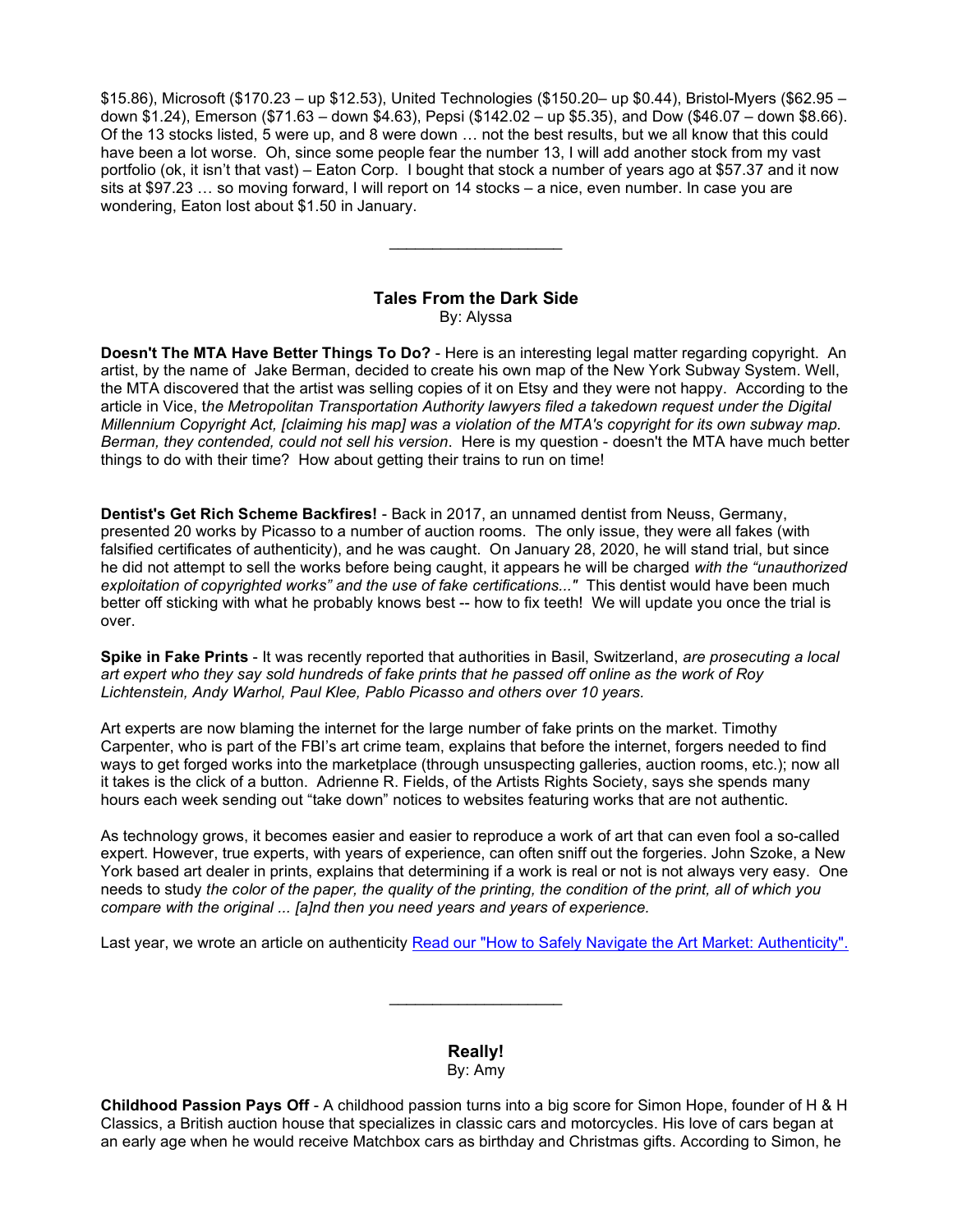\$15.86), Microsoft (\$170.23 – up \$12.53), United Technologies (\$150.20– up \$0.44), Bristol-Myers (\$62.95 – down \$1.24), Emerson (\$71.63 – down \$4.63), Pepsi (\$142.02 – up \$5.35), and Dow (\$46.07 – down \$8.66). Of the 13 stocks listed, 5 were up, and 8 were down … not the best results, but we all know that this could have been a lot worse. Oh, since some people fear the number 13, I will add another stock from my vast portfolio (ok, it isn't that vast) – Eaton Corp. I bought that stock a number of years ago at \$57.37 and it now sits at \$97.23 … so moving forward, I will report on 14 stocks – a nice, even number. In case you are wondering, Eaton lost about \$1.50 in January.

#### Tales From the Dark Side By: Alyssa

Doesn't The MTA Have Better Things To Do? - Here is an interesting legal matter regarding copyright. An artist, by the name of Jake Berman, decided to create his own map of the New York Subway System. Well, the MTA discovered that the artist was selling copies of it on Etsy and they were not happy. According to the article in Vice, the Metropolitan Transportation Authority lawyers filed a takedown request under the Digital Millennium Copyright Act, [claiming his map] was a violation of the MTA's copyright for its own subway map. Berman, they contended, could not sell his version. Here is my question - doesn't the MTA have much better things to do with their time? How about getting their trains to run on time!

Dentist's Get Rich Scheme Backfires! - Back in 2017, an unnamed dentist from Neuss, Germany, presented 20 works by Picasso to a number of auction rooms. The only issue, they were all fakes (with falsified certificates of authenticity), and he was caught. On January 28, 2020, he will stand trial, but since he did not attempt to sell the works before being caught, it appears he will be charged with the "unauthorized exploitation of copyrighted works" and the use of fake certifications..." This dentist would have been much better off sticking with what he probably knows best -- how to fix teeth! We will update you once the trial is over.

Spike in Fake Prints - It was recently reported that authorities in Basil, Switzerland, are prosecuting a local art expert who they say sold hundreds of fake prints that he passed off online as the work of Roy Lichtenstein, Andy Warhol, Paul Klee, Pablo Picasso and others over 10 years.

Art experts are now blaming the internet for the large number of fake prints on the market. Timothy Carpenter, who is part of the FBI's art crime team, explains that before the internet, forgers needed to find ways to get forged works into the marketplace (through unsuspecting galleries, auction rooms, etc.); now all it takes is the click of a button. Adrienne R. Fields, of the Artists Rights Society, says she spends many hours each week sending out "take down" notices to websites featuring works that are not authentic.

As technology grows, it becomes easier and easier to reproduce a work of art that can even fool a so-called expert. However, true experts, with years of experience, can often sniff out the forgeries. John Szoke, a New York based art dealer in prints, explains that determining if a work is real or not is not always very easy. One needs to study the color of the paper, the quality of the printing, the condition of the print, all of which you compare with the original ... [a]nd then you need years and years of experience.

Last year, we wrote an article on authenticity Read our "How to Safely Navigate the Art Market: Authenticity".

Really! By: Amy

Childhood Passion Pays Off - A childhood passion turns into a big score for Simon Hope, founder of H & H Classics, a British auction house that specializes in classic cars and motorcycles. His love of cars began at an early age when he would receive Matchbox cars as birthday and Christmas gifts. According to Simon, he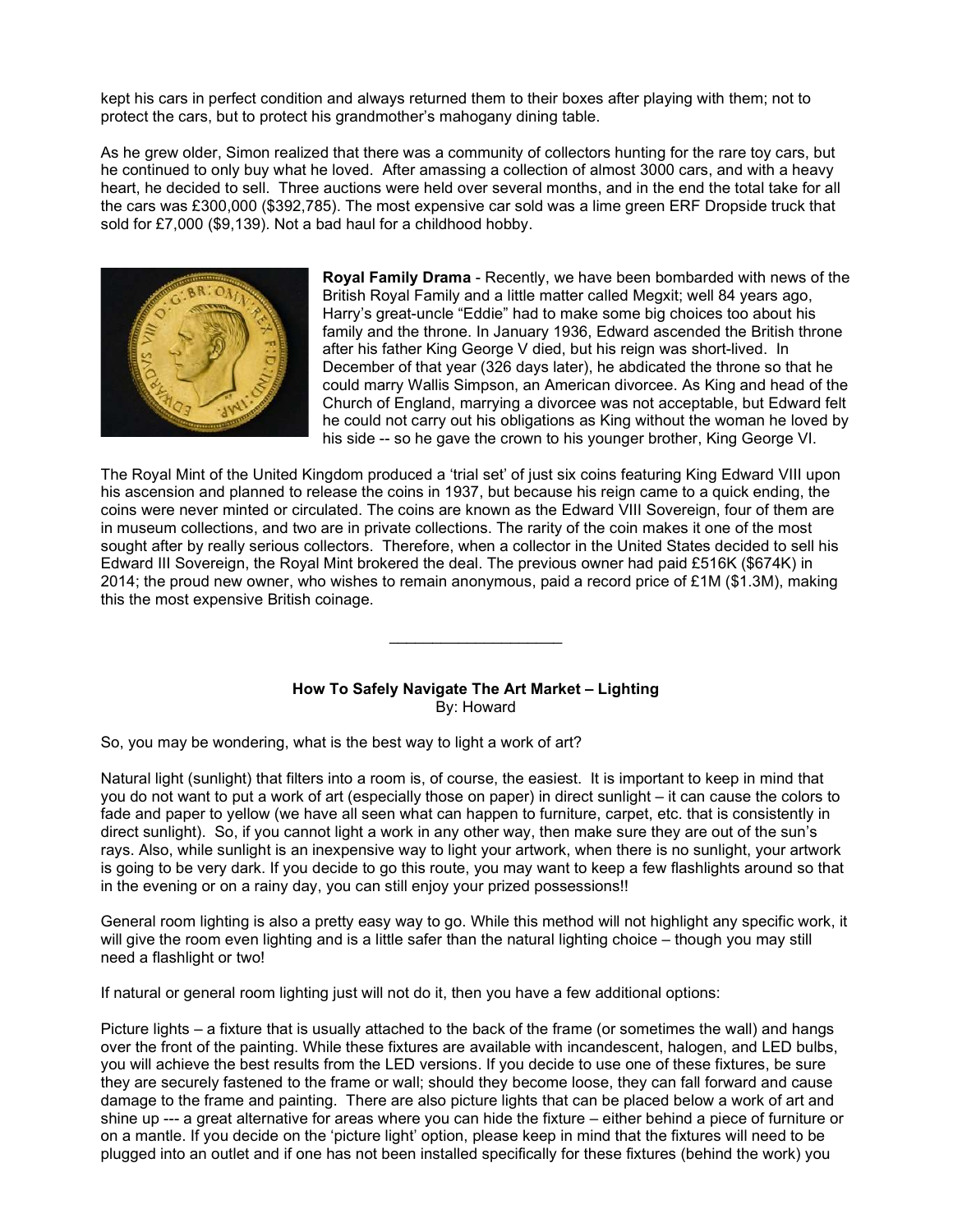kept his cars in perfect condition and always returned them to their boxes after playing with them; not to protect the cars, but to protect his grandmother's mahogany dining table.

As he grew older, Simon realized that there was a community of collectors hunting for the rare toy cars, but he continued to only buy what he loved. After amassing a collection of almost 3000 cars, and with a heavy heart, he decided to sell. Three auctions were held over several months, and in the end the total take for all the cars was £300,000 (\$392,785). The most expensive car sold was a lime green ERF Dropside truck that sold for £7,000 (\$9,139). Not a bad haul for a childhood hobby.



Royal Family Drama - Recently, we have been bombarded with news of the British Royal Family and a little matter called Megxit; well 84 years ago, Harry's great-uncle "Eddie" had to make some big choices too about his family and the throne. In January 1936, Edward ascended the British throne after his father King George V died, but his reign was short-lived. In December of that year (326 days later), he abdicated the throne so that he could marry Wallis Simpson, an American divorcee. As King and head of the Church of England, marrying a divorcee was not acceptable, but Edward felt he could not carry out his obligations as King without the woman he loved by his side -- so he gave the crown to his younger brother, King George VI.

The Royal Mint of the United Kingdom produced a 'trial set' of just six coins featuring King Edward VIII upon his ascension and planned to release the coins in 1937, but because his reign came to a quick ending, the coins were never minted or circulated. The coins are known as the Edward VIII Sovereign, four of them are in museum collections, and two are in private collections. The rarity of the coin makes it one of the most sought after by really serious collectors. Therefore, when a collector in the United States decided to sell his Edward III Sovereign, the Royal Mint brokered the deal. The previous owner had paid £516K (\$674K) in 2014; the proud new owner, who wishes to remain anonymous, paid a record price of £1M (\$1.3M), making this the most expensive British coinage.

#### How To Safely Navigate The Art Market – Lighting By: Howard

 $\mathcal{L}_\text{max}$  , we are the set of the set of the set of the set of the set of the set of the set of the set of the set of the set of the set of the set of the set of the set of the set of the set of the set of the set of

So, you may be wondering, what is the best way to light a work of art?

Natural light (sunlight) that filters into a room is, of course, the easiest. It is important to keep in mind that you do not want to put a work of art (especially those on paper) in direct sunlight – it can cause the colors to fade and paper to yellow (we have all seen what can happen to furniture, carpet, etc. that is consistently in direct sunlight). So, if you cannot light a work in any other way, then make sure they are out of the sun's rays. Also, while sunlight is an inexpensive way to light your artwork, when there is no sunlight, your artwork is going to be very dark. If you decide to go this route, you may want to keep a few flashlights around so that in the evening or on a rainy day, you can still enjoy your prized possessions!!

General room lighting is also a pretty easy way to go. While this method will not highlight any specific work, it will give the room even lighting and is a little safer than the natural lighting choice – though you may still need a flashlight or two!

If natural or general room lighting just will not do it, then you have a few additional options:

Picture lights – a fixture that is usually attached to the back of the frame (or sometimes the wall) and hangs over the front of the painting. While these fixtures are available with incandescent, halogen, and LED bulbs, you will achieve the best results from the LED versions. If you decide to use one of these fixtures, be sure they are securely fastened to the frame or wall; should they become loose, they can fall forward and cause damage to the frame and painting. There are also picture lights that can be placed below a work of art and shine up --- a great alternative for areas where you can hide the fixture – either behind a piece of furniture or on a mantle. If you decide on the 'picture light' option, please keep in mind that the fixtures will need to be plugged into an outlet and if one has not been installed specifically for these fixtures (behind the work) you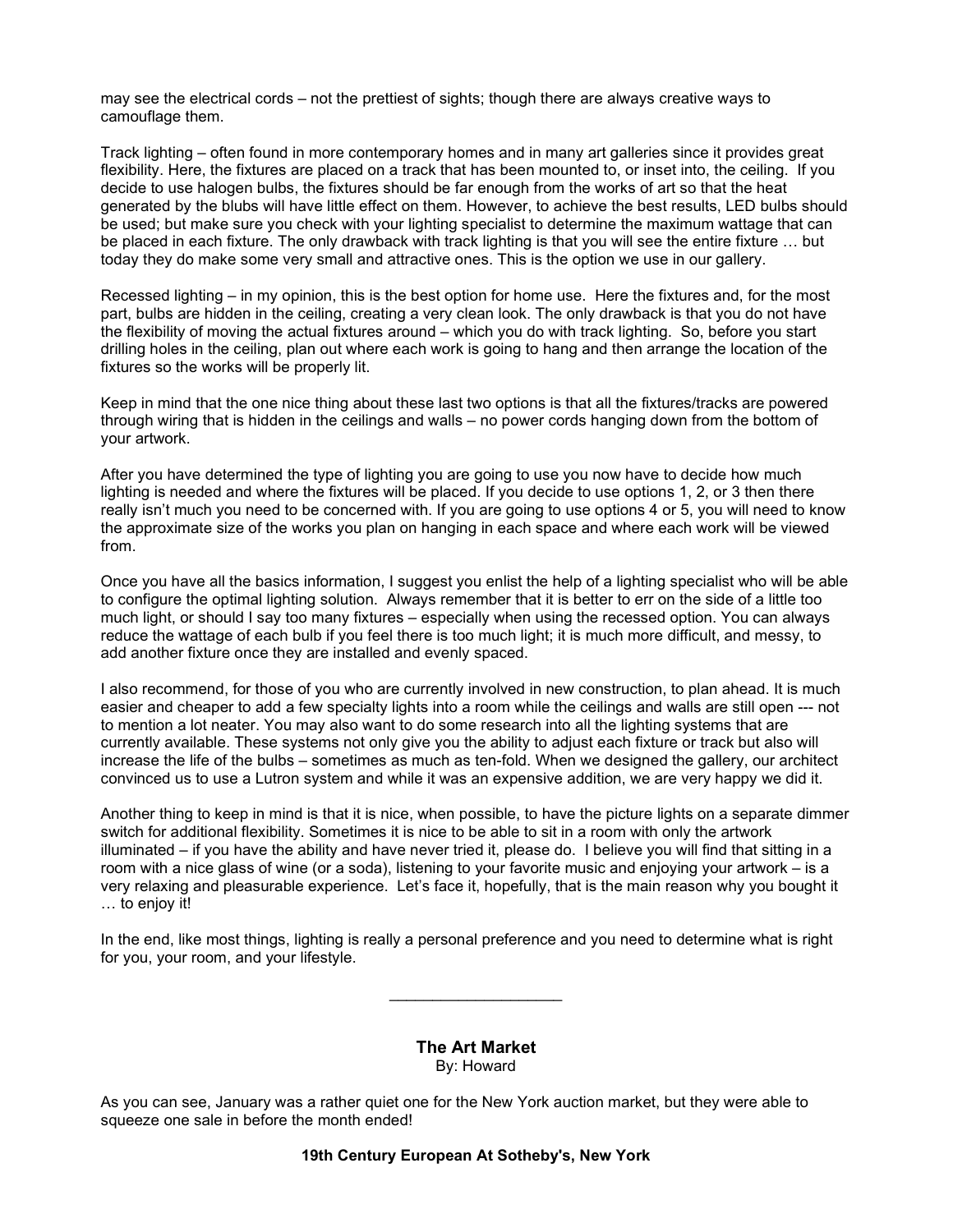may see the electrical cords – not the prettiest of sights; though there are always creative ways to camouflage them.

Track lighting – often found in more contemporary homes and in many art galleries since it provides great flexibility. Here, the fixtures are placed on a track that has been mounted to, or inset into, the ceiling. If you decide to use halogen bulbs, the fixtures should be far enough from the works of art so that the heat generated by the blubs will have little effect on them. However, to achieve the best results, LED bulbs should be used; but make sure you check with your lighting specialist to determine the maximum wattage that can be placed in each fixture. The only drawback with track lighting is that you will see the entire fixture … but today they do make some very small and attractive ones. This is the option we use in our gallery.

Recessed lighting – in my opinion, this is the best option for home use. Here the fixtures and, for the most part, bulbs are hidden in the ceiling, creating a very clean look. The only drawback is that you do not have the flexibility of moving the actual fixtures around – which you do with track lighting. So, before you start drilling holes in the ceiling, plan out where each work is going to hang and then arrange the location of the fixtures so the works will be properly lit.

Keep in mind that the one nice thing about these last two options is that all the fixtures/tracks are powered through wiring that is hidden in the ceilings and walls – no power cords hanging down from the bottom of your artwork.

After you have determined the type of lighting you are going to use you now have to decide how much lighting is needed and where the fixtures will be placed. If you decide to use options 1, 2, or 3 then there really isn't much you need to be concerned with. If you are going to use options 4 or 5, you will need to know the approximate size of the works you plan on hanging in each space and where each work will be viewed from.

Once you have all the basics information, I suggest you enlist the help of a lighting specialist who will be able to configure the optimal lighting solution. Always remember that it is better to err on the side of a little too much light, or should I say too many fixtures – especially when using the recessed option. You can always reduce the wattage of each bulb if you feel there is too much light; it is much more difficult, and messy, to add another fixture once they are installed and evenly spaced.

I also recommend, for those of you who are currently involved in new construction, to plan ahead. It is much easier and cheaper to add a few specialty lights into a room while the ceilings and walls are still open --- not to mention a lot neater. You may also want to do some research into all the lighting systems that are currently available. These systems not only give you the ability to adjust each fixture or track but also will increase the life of the bulbs – sometimes as much as ten-fold. When we designed the gallery, our architect convinced us to use a Lutron system and while it was an expensive addition, we are very happy we did it.

Another thing to keep in mind is that it is nice, when possible, to have the picture lights on a separate dimmer switch for additional flexibility. Sometimes it is nice to be able to sit in a room with only the artwork illuminated – if you have the ability and have never tried it, please do. I believe you will find that sitting in a room with a nice glass of wine (or a soda), listening to your favorite music and enjoying your artwork – is a very relaxing and pleasurable experience. Let's face it, hopefully, that is the main reason why you bought it … to enjoy it!

In the end, like most things, lighting is really a personal preference and you need to determine what is right for you, your room, and your lifestyle.

> The Art Market By: Howard

As you can see, January was a rather quiet one for the New York auction market, but they were able to squeeze one sale in before the month ended!

19th Century European At Sotheby's, New York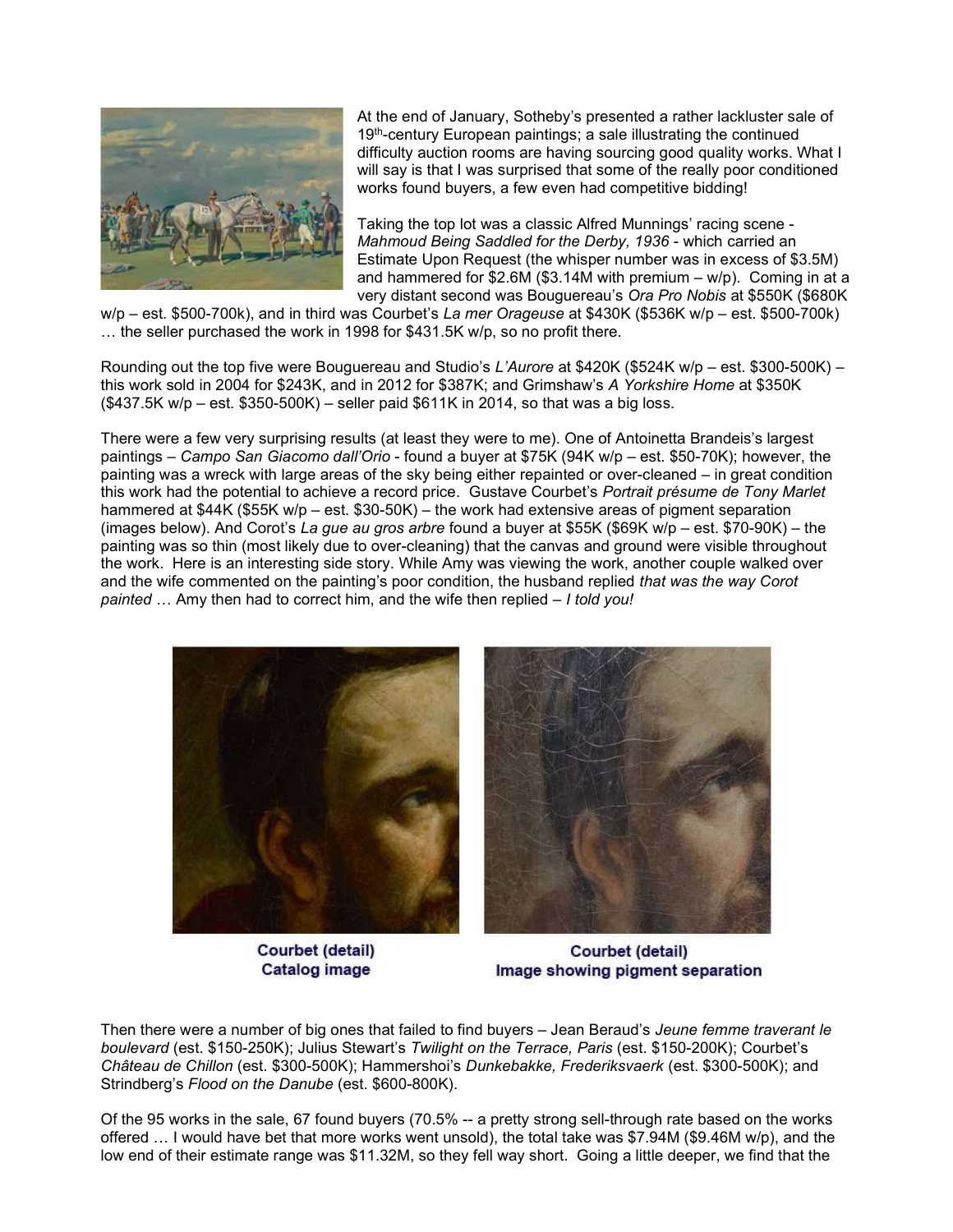

At the end of January, Sotheby's presented a rather lackluster sale of 19<sup>th</sup>-century European paintings; a sale illustrating the continued difficulty auction rooms are having sourcing good quality works. What I will say is that I was surprised that some of the really poor conditioned works found buyers, a few even had competitive bidding!

Taking the top lot was a classic Alfred Munnings' racing scene - Mahmoud Being Saddled for the Derby, 1936 - which carried an Estimate Upon Request (the whisper number was in excess of \$3.5M) and hammered for  $$2.6M$  (\$3.14M with premium – w/p). Coming in at a very distant second was Bouguereau's Ora Pro Nobis at \$550K (\$680K

 $w/p - est. $500-700k$ , and in third was Courbet's La mer Orageuse at \$430K (\$536K w/p – est. \$500-700k) … the seller purchased the work in 1998 for \$431.5K w/p, so no profit there.

Rounding out the top five were Bouguereau and Studio's L'Aurore at \$420K (\$524K w/p – est. \$300-500K) – this work sold in 2004 for \$243K, and in 2012 for \$387K; and Grimshaw's A Yorkshire Home at \$350K (\$437.5K w/p – est. \$350-500K) – seller paid \$611K in 2014, so that was a big loss.

There were a few very surprising results (at least they were to me). One of Antoinetta Brandeis's largest paintings – Campo San Giacomo dall'Orio - found a buyer at \$75K (94K w/p – est. \$50-70K); however, the painting was a wreck with large areas of the sky being either repainted or over-cleaned – in great condition this work had the potential to achieve a record price. Gustave Courbet's Portrait présume de Tony Marlet hammered at \$44K (\$55K w/p – est. \$30-50K) – the work had extensive areas of pigment separation (images below). And Corot's La gue au gros arbre found a buyer at \$55K (\$69K w/p – est. \$70-90K) – the painting was so thin (most likely due to over-cleaning) that the canvas and ground were visible throughout the work. Here is an interesting side story. While Amy was viewing the work, another couple walked over and the wife commented on the painting's poor condition, the husband replied that was the way Corot painted ... Amy then had to correct him, and the wife then replied – I told you!



Courbet (detail) **Catalog image** 

Courbet (detail) Image showing pigment separation

Then there were a number of big ones that failed to find buyers – Jean Beraud's Jeune femme traverant le boulevard (est. \$150-250K); Julius Stewart's Twilight on the Terrace, Paris (est. \$150-200K); Courbet's Château de Chillon (est. \$300-500K); Hammershoi's Dunkebakke, Frederiksvaerk (est. \$300-500K); and Strindberg's Flood on the Danube (est. \$600-800K).

Of the 95 works in the sale, 67 found buyers (70.5% -- a pretty strong sell-through rate based on the works offered … I would have bet that more works went unsold), the total take was \$7.94M (\$9.46M w/p), and the low end of their estimate range was \$11.32M, so they fell way short. Going a little deeper, we find that the